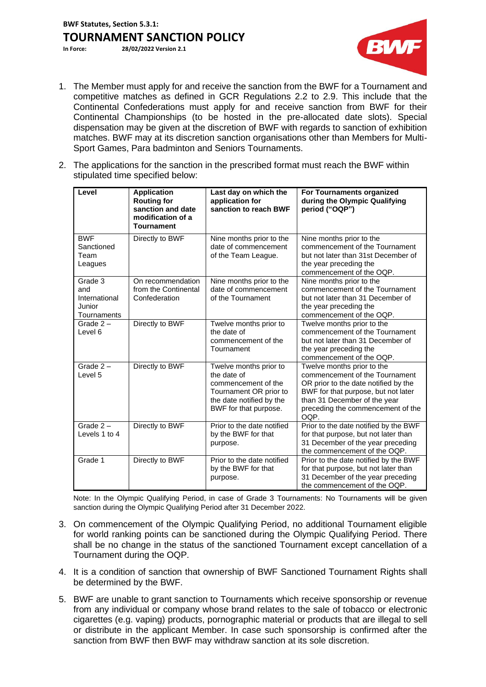**BWF Statutes, Section 5.3.1: TOURNAMENT SANCTION POLICY**<br>In Force: 28/02/2022 Version 2.1

**In Force: 28/02/2022 Version 2.1**



- 1. The Member must apply for and receive the sanction from the BWF for a Tournament and competitive matches as defined in GCR Regulations 2.2 to 2.9. This include that the Continental Confederations must apply for and receive sanction from BWF for their Continental Championships (to be hosted in the pre-allocated date slots). Special dispensation may be given at the discretion of BWF with regards to sanction of exhibition matches. BWF may at its discretion sanction organisations other than Members for Multi-Sport Games, Para badminton and Seniors Tournaments.
- 2. The applications for the sanction in the prescribed format must reach the BWF within stipulated time specified below:

| Level                                                    | <b>Application</b><br><b>Routing for</b><br>sanction and date<br>modification of a<br><b>Tournament</b> | Last day on which the<br>application for<br>sanction to reach BWF                                                                           | For Tournaments organized<br>during the Olympic Qualifying<br>period ("OQP")                                                                                                                                             |
|----------------------------------------------------------|---------------------------------------------------------------------------------------------------------|---------------------------------------------------------------------------------------------------------------------------------------------|--------------------------------------------------------------------------------------------------------------------------------------------------------------------------------------------------------------------------|
| <b>BWF</b><br>Sanctioned<br>Team<br>Leagues              | Directly to BWF                                                                                         | Nine months prior to the<br>date of commencement<br>of the Team League.                                                                     | Nine months prior to the<br>commencement of the Tournament<br>but not later than 31st December of<br>the year preceding the<br>commencement of the OQP.                                                                  |
| Grade 3<br>and<br>International<br>Junior<br>Tournaments | On recommendation<br>from the Continental<br>Confederation                                              | Nine months prior to the<br>date of commencement<br>of the Tournament                                                                       | Nine months prior to the<br>commencement of the Tournament<br>but not later than 31 December of<br>the year preceding the<br>commencement of the OQP.                                                                    |
| Grade $2 -$<br>Level 6                                   | Directly to BWF                                                                                         | Twelve months prior to<br>the date of<br>commencement of the<br>Tournament                                                                  | Twelve months prior to the<br>commencement of the Tournament<br>but not later than 31 December of<br>the year preceding the<br>commencement of the OQP.                                                                  |
| Grade $2-$<br>Level 5                                    | Directly to BWF                                                                                         | Twelve months prior to<br>the date of<br>commencement of the<br>Tournament OR prior to<br>the date notified by the<br>BWF for that purpose. | Twelve months prior to the<br>commencement of the Tournament<br>OR prior to the date notified by the<br>BWF for that purpose, but not later<br>than 31 December of the year<br>preceding the commencement of the<br>OQP. |
| Grade $2 -$<br>Levels 1 to 4                             | Directly to BWF                                                                                         | Prior to the date notified<br>by the BWF for that<br>purpose.                                                                               | Prior to the date notified by the BWF<br>for that purpose, but not later than<br>31 December of the year preceding<br>the commencement of the OQP.                                                                       |
| Grade 1                                                  | Directly to BWF                                                                                         | Prior to the date notified<br>by the BWF for that<br>purpose.                                                                               | Prior to the date notified by the BWF<br>for that purpose, but not later than<br>31 December of the year preceding<br>the commencement of the OQP.                                                                       |

Note: In the Olympic Qualifying Period, in case of Grade 3 Tournaments: No Tournaments will be given sanction during the Olympic Qualifying Period after 31 December 2022.

- 3. On commencement of the Olympic Qualifying Period, no additional Tournament eligible for world ranking points can be sanctioned during the Olympic Qualifying Period. There shall be no change in the status of the sanctioned Tournament except cancellation of a Tournament during the OQP.
- 4. It is a condition of sanction that ownership of BWF Sanctioned Tournament Rights shall be determined by the BWF.
- 5. BWF are unable to grant sanction to Tournaments which receive sponsorship or revenue from any individual or company whose brand relates to the sale of tobacco or electronic cigarettes (e.g. vaping) products, pornographic material or products that are illegal to sell or distribute in the applicant Member. In case such sponsorship is confirmed after the sanction from BWF then BWF may withdraw sanction at its sole discretion.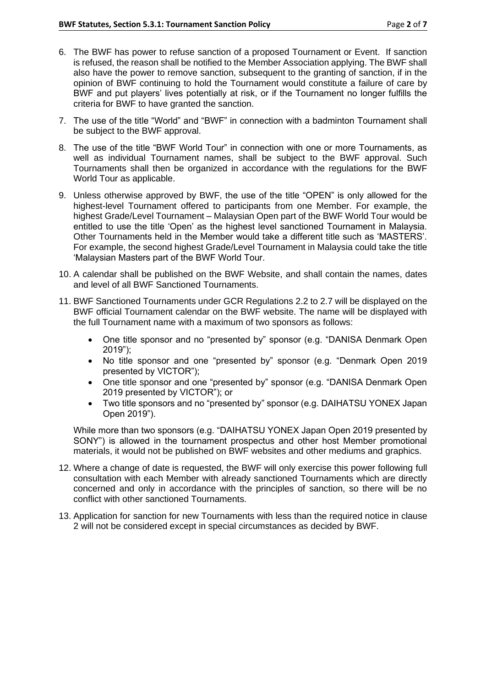- 6. The BWF has power to refuse sanction of a proposed Tournament or Event. If sanction is refused, the reason shall be notified to the Member Association applying. The BWF shall also have the power to remove sanction, subsequent to the granting of sanction, if in the opinion of BWF continuing to hold the Tournament would constitute a failure of care by BWF and put players' lives potentially at risk, or if the Tournament no longer fulfills the criteria for BWF to have granted the sanction.
- 7. The use of the title "World" and "BWF" in connection with a badminton Tournament shall be subject to the BWF approval.
- 8. The use of the title "BWF World Tour" in connection with one or more Tournaments, as well as individual Tournament names, shall be subject to the BWF approval. Such Tournaments shall then be organized in accordance with the regulations for the BWF World Tour as applicable.
- 9. Unless otherwise approved by BWF, the use of the title "OPEN" is only allowed for the highest-level Tournament offered to participants from one Member. For example, the highest Grade/Level Tournament – Malaysian Open part of the BWF World Tour would be entitled to use the title 'Open' as the highest level sanctioned Tournament in Malaysia. Other Tournaments held in the Member would take a different title such as 'MASTERS'. For example, the second highest Grade/Level Tournament in Malaysia could take the title 'Malaysian Masters part of the BWF World Tour.
- 10. A calendar shall be published on the BWF Website, and shall contain the names, dates and level of all BWF Sanctioned Tournaments.
- 11. BWF Sanctioned Tournaments under GCR Regulations 2.2 to 2.7 will be displayed on the BWF official Tournament calendar on the BWF website. The name will be displayed with the full Tournament name with a maximum of two sponsors as follows:
	- One title sponsor and no "presented by" sponsor (e.g. "DANISA Denmark Open 2019");
	- No title sponsor and one "presented by" sponsor (e.g. "Denmark Open 2019 presented by VICTOR");
	- One title sponsor and one "presented by" sponsor (e.g. "DANISA Denmark Open 2019 presented by VICTOR"); or
	- Two title sponsors and no "presented by" sponsor (e.g. DAIHATSU YONEX Japan Open 2019").

While more than two sponsors (e.g. "DAIHATSU YONEX Japan Open 2019 presented by SONY") is allowed in the tournament prospectus and other host Member promotional materials, it would not be published on BWF websites and other mediums and graphics.

- 12. Where a change of date is requested, the BWF will only exercise this power following full consultation with each Member with already sanctioned Tournaments which are directly concerned and only in accordance with the principles of sanction, so there will be no conflict with other sanctioned Tournaments.
- 13. Application for sanction for new Tournaments with less than the required notice in clause 2 will not be considered except in special circumstances as decided by BWF.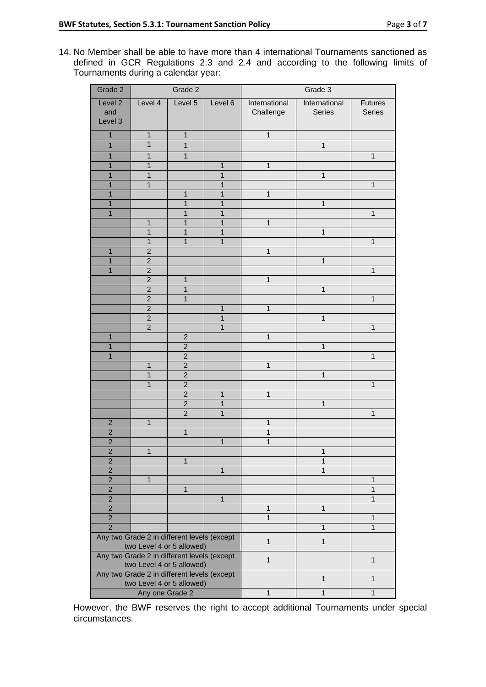14. No Member shall be able to have more than 4 international Tournaments sanctioned as defined in GCR Regulations 2.3 and 2.4 and according to the following limits of Tournaments during a calendar year:

| Grade 2                                                     | Grade 2                   |                                  | Grade 3           |               |                |                |
|-------------------------------------------------------------|---------------------------|----------------------------------|-------------------|---------------|----------------|----------------|
| Level <sub>2</sub>                                          | Level 4                   | Level 5                          | Level 6           | International | International  | <b>Futures</b> |
| and                                                         |                           |                                  |                   | Challenge     | Series         | Series         |
| Level 3                                                     |                           |                                  |                   |               |                |                |
| 1                                                           | $\mathbf{1}$              | $\mathbf{1}$                     |                   | $\mathbf{1}$  |                |                |
| $\mathbf{1}$                                                | $\mathbf{1}$              | $\mathbf{1}$                     |                   |               | $\mathbf{1}$   |                |
| $\mathbf{1}$                                                | $\mathbf{1}$              | $\mathbf{1}$                     |                   |               |                | $\mathbf{1}$   |
| 1                                                           | $\mathbf{1}$              |                                  | $\mathbf{1}$      | $\mathbf{1}$  |                |                |
| $\mathbf{1}$                                                | $\mathbf{1}$              |                                  | $\mathbf{1}$      |               | $\overline{1}$ |                |
| 1                                                           | $\mathbf{1}$              |                                  | $\mathbf{1}$      |               |                | $\mathbf{1}$   |
| $\mathbf{1}$                                                |                           | $\mathbf{1}$                     | $\mathbf{1}$      | $\mathbf{1}$  |                |                |
| $\mathbf{1}$                                                |                           | 1                                | 1                 |               | $\mathbf{1}$   |                |
| $\mathbf{1}$                                                |                           | 1                                | $\mathbf{1}$      |               |                | $\mathbf{1}$   |
|                                                             | $\mathbf{1}$              | 1                                | 1                 | 1             |                |                |
|                                                             | $\mathbf{1}$              | 1                                | 1                 |               | $\mathbf{1}$   |                |
|                                                             | $\mathbf{1}$              | $\mathbf{1}$                     | $\mathbf{1}$      |               |                | $\mathbf{1}$   |
| 1                                                           | $\overline{c}$            |                                  |                   | 1             |                |                |
| $\overline{1}$                                              | $\overline{2}$            |                                  |                   |               | $\mathbf{1}$   |                |
| 1                                                           | $\overline{2}$            |                                  |                   |               |                | $\mathbf{1}$   |
|                                                             | $\overline{2}$            | 1                                |                   | $\mathbf{1}$  |                |                |
|                                                             | $\overline{2}$            | $\overline{1}$                   |                   |               | $\mathbf{1}$   |                |
|                                                             | $\overline{2}$            | $\mathbf{1}$                     |                   |               |                | $\mathbf{1}$   |
|                                                             | $\overline{2}$            |                                  | $\mathbf{1}$      | 1             |                |                |
|                                                             | $\overline{2}$            |                                  | 1                 |               | $\mathbf{1}$   |                |
|                                                             | $\overline{2}$            |                                  | $\mathbf{1}$      |               |                | $\mathbf{1}$   |
| 1                                                           |                           | $\overline{2}$                   |                   | $\mathbf{1}$  |                |                |
| 1                                                           |                           | $\overline{2}$                   |                   |               | $\mathbf{1}$   |                |
| 1                                                           |                           | $\overline{2}$                   |                   |               |                | $\overline{1}$ |
|                                                             | $\mathbf{1}$              | $\overline{c}$                   |                   | $\mathbf{1}$  |                |                |
|                                                             | $\mathbf{1}$              | $\overline{2}$                   |                   |               | $\mathbf{1}$   |                |
|                                                             | 1                         | $\overline{2}$                   |                   |               |                | 1              |
|                                                             |                           | $\overline{c}$                   | 1                 | 1             |                |                |
|                                                             |                           | $\overline{2}$<br>$\overline{2}$ | 1<br>$\mathbf{1}$ |               | $\mathbf{1}$   | $\mathbf{1}$   |
| $\overline{c}$                                              | $\mathbf{1}$              |                                  |                   | 1             |                |                |
| $\overline{2}$                                              |                           | $\mathbf{1}$                     |                   | 1             |                |                |
| $\overline{2}$                                              |                           |                                  | 1                 | 1             |                |                |
| $\overline{\mathbf{c}}$                                     | 1                         |                                  |                   |               | Ί              |                |
| $\overline{2}$                                              |                           | $\mathbf{1}$                     |                   |               | $\overline{1}$ |                |
| $\overline{2}$                                              |                           |                                  | $\mathbf{1}$      |               | $\overline{1}$ |                |
| $\overline{2}$                                              | $\mathbf{1}$              |                                  |                   |               |                | $\mathbf{1}$   |
| $\overline{2}$                                              |                           | $\mathbf{1}$                     |                   |               |                | $\mathbf{1}$   |
| $\mathbf 2$                                                 |                           |                                  | $\mathbf{1}$      |               |                | $\mathbf{1}$   |
| $\overline{2}$                                              |                           |                                  |                   | $\mathbf{1}$  | $\overline{1}$ |                |
| $\overline{2}$                                              |                           |                                  |                   | $\mathbf{1}$  |                | $\mathbf{1}$   |
| $\overline{2}$                                              |                           |                                  |                   |               | $\overline{1}$ | $\overline{1}$ |
| Any two Grade 2 in different levels (except                 |                           |                                  | $\mathbf{1}$      | $\mathbf{1}$  |                |                |
| two Level 4 or 5 allowed)                                   |                           |                                  |                   |               |                |                |
| Any two Grade 2 in different levels (except                 |                           |                                  | $\mathbf{1}$      |               | $\mathbf{1}$   |                |
| two Level 4 or 5 allowed)                                   |                           |                                  |                   |               |                |                |
| Any two Grade 2 in different levels (except<br>$\mathbf{1}$ |                           |                                  |                   | $\mathbf{1}$  |                |                |
|                                                             | two Level 4 or 5 allowed) |                                  |                   |               |                |                |
| Any one Grade 2                                             |                           |                                  | $\mathbf{1}$      | $\mathbf{1}$  | $\mathbf{1}$   |                |

However, the BWF reserves the right to accept additional Tournaments under special circumstances.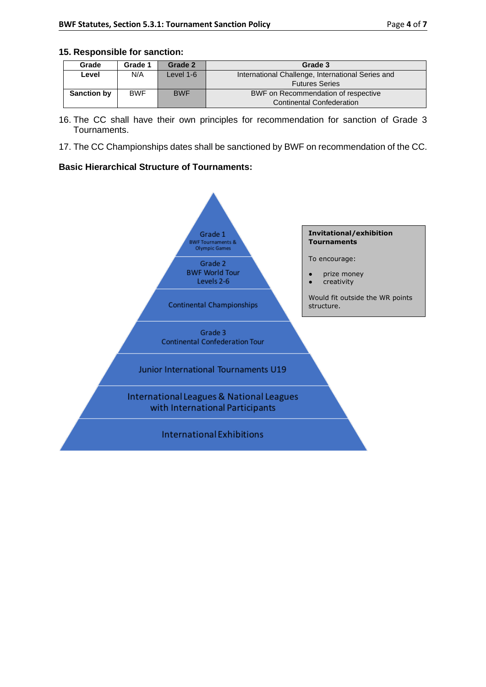## **15. Responsible for sanction:**

| Grade              | Grade 1    | Grade 2    | Grade 3                                           |  |
|--------------------|------------|------------|---------------------------------------------------|--|
| Level              | N/A        | Level 1-6  | International Challenge, International Series and |  |
|                    |            |            | <b>Futures Series</b>                             |  |
| <b>Sanction by</b> | <b>BWF</b> | <b>BWF</b> | BWF on Recommendation of respective               |  |
|                    |            |            | <b>Continental Confederation</b>                  |  |

- 16. The CC shall have their own principles for recommendation for sanction of Grade 3 Tournaments.
- 17. The CC Championships dates shall be sanctioned by BWF on recommendation of the CC.

## **Basic Hierarchical Structure of Tournaments:**

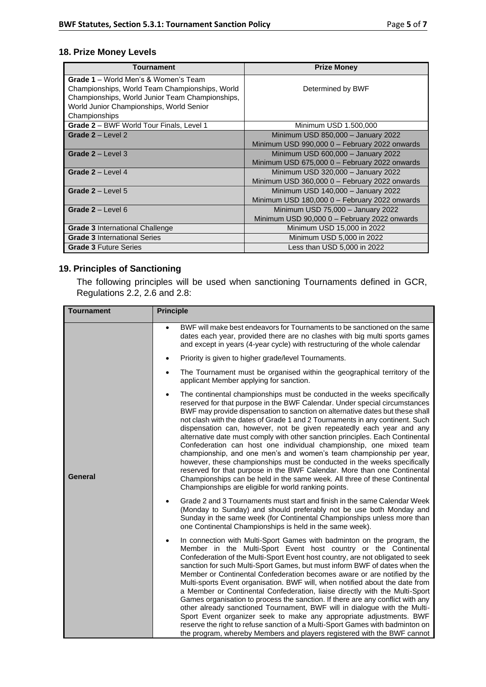## **18. Prize Money Levels**

| <b>Tournament</b>                               | <b>Prize Money</b>                            |
|-------------------------------------------------|-----------------------------------------------|
| <b>Grade 1</b> – World Men's & Women's Team     |                                               |
| Championships, World Team Championships, World  | Determined by BWF                             |
| Championships, World Junior Team Championships, |                                               |
| World Junior Championships, World Senior        |                                               |
| Championships                                   |                                               |
| Grade 2 - BWF World Tour Finals, Level 1        | Minimum USD 1.500,000                         |
| Grade $2 -$ Level 2                             | Minimum USD 850,000 - January 2022            |
|                                                 | Minimum USD 990,000 0 - February 2022 onwards |
| Grade $2 -$ Level 3                             | Minimum USD 600,000 - January 2022            |
|                                                 | Minimum USD 675,000 0 - February 2022 onwards |
| Grade $2 -$ Level 4                             | Minimum USD 320,000 - January 2022            |
|                                                 | Minimum USD 360,000 0 - February 2022 onwards |
| Grade $2 -$ Level 5                             | Minimum USD 140,000 - January 2022            |
|                                                 | Minimum USD 180,000 0 - February 2022 onwards |
| Grade $2 -$ Level 6                             | Minimum USD 75,000 - January 2022             |
|                                                 | Minimum USD 90,000 0 - February 2022 onwards  |
| <b>Grade 3 International Challenge</b>          | Minimum USD 15,000 in 2022                    |
| <b>Grade 3 International Series</b>             | Minimum USD 5,000 in 2022                     |
| <b>Grade 3 Future Series</b>                    | Less than USD 5,000 in 2022                   |

## **19. Principles of Sanctioning**

The following principles will be used when sanctioning Tournaments defined in GCR, Regulations 2.2, 2.6 and 2.8:

| <b>Tournament</b> | <b>Principle</b>                                                                                                                                                                                                                                                                                                                                                                                                                                                                                                                                                                                                                                                                                                                                                                                                                                                                                                                                        |
|-------------------|---------------------------------------------------------------------------------------------------------------------------------------------------------------------------------------------------------------------------------------------------------------------------------------------------------------------------------------------------------------------------------------------------------------------------------------------------------------------------------------------------------------------------------------------------------------------------------------------------------------------------------------------------------------------------------------------------------------------------------------------------------------------------------------------------------------------------------------------------------------------------------------------------------------------------------------------------------|
|                   | BWF will make best endeavors for Tournaments to be sanctioned on the same<br>$\bullet$<br>dates each year, provided there are no clashes with big multi sports games<br>and except in years (4-year cycle) with restructuring of the whole calendar                                                                                                                                                                                                                                                                                                                                                                                                                                                                                                                                                                                                                                                                                                     |
|                   | Priority is given to higher grade/level Tournaments.<br>$\bullet$                                                                                                                                                                                                                                                                                                                                                                                                                                                                                                                                                                                                                                                                                                                                                                                                                                                                                       |
|                   | The Tournament must be organised within the geographical territory of the<br>$\bullet$<br>applicant Member applying for sanction.                                                                                                                                                                                                                                                                                                                                                                                                                                                                                                                                                                                                                                                                                                                                                                                                                       |
| <b>General</b>    | The continental championships must be conducted in the weeks specifically<br>$\bullet$<br>reserved for that purpose in the BWF Calendar. Under special circumstances<br>BWF may provide dispensation to sanction on alternative dates but these shall<br>not clash with the dates of Grade 1 and 2 Tournaments in any continent. Such<br>dispensation can, however, not be given repeatedly each year and any<br>alternative date must comply with other sanction principles. Each Continental<br>Confederation can host one individual championship, one mixed team<br>championship, and one men's and women's team championship per year,<br>however, these championships must be conducted in the weeks specifically<br>reserved for that purpose in the BWF Calendar. More than one Continental<br>Championships can be held in the same week. All three of these Continental<br>Championships are eligible for world ranking points.               |
|                   | Grade 2 and 3 Tournaments must start and finish in the same Calendar Week<br>$\bullet$<br>(Monday to Sunday) and should preferably not be use both Monday and<br>Sunday in the same week (for Continental Championships unless more than<br>one Continental Championships is held in the same week).                                                                                                                                                                                                                                                                                                                                                                                                                                                                                                                                                                                                                                                    |
|                   | In connection with Multi-Sport Games with badminton on the program, the<br>Member in the Multi-Sport Event host country or the Continental<br>Confederation of the Multi-Sport Event host country, are not obligated to seek<br>sanction for such Multi-Sport Games, but must inform BWF of dates when the<br>Member or Continental Confederation becomes aware or are notified by the<br>Multi-sports Event organisation. BWF will, when notified about the date from<br>a Member or Continental Confederation, liaise directly with the Multi-Sport<br>Games organisation to process the sanction. If there are any conflict with any<br>other already sanctioned Tournament, BWF will in dialogue with the Multi-<br>Sport Event organizer seek to make any appropriate adjustments. BWF<br>reserve the right to refuse sanction of a Multi-Sport Games with badminton on<br>the program, whereby Members and players registered with the BWF cannot |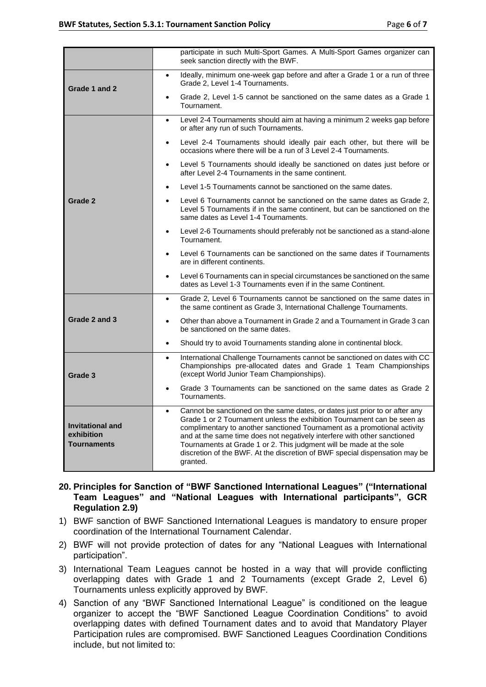|                                                             | participate in such Multi-Sport Games. A Multi-Sport Games organizer can<br>seek sanction directly with the BWF.                                                                                                                                                                                                                                                                                                                                                                 |
|-------------------------------------------------------------|----------------------------------------------------------------------------------------------------------------------------------------------------------------------------------------------------------------------------------------------------------------------------------------------------------------------------------------------------------------------------------------------------------------------------------------------------------------------------------|
| Grade 1 and 2                                               | Ideally, minimum one-week gap before and after a Grade 1 or a run of three<br>$\bullet$<br>Grade 2, Level 1-4 Tournaments.                                                                                                                                                                                                                                                                                                                                                       |
|                                                             | Grade 2, Level 1-5 cannot be sanctioned on the same dates as a Grade 1<br>$\bullet$<br>Tournament.                                                                                                                                                                                                                                                                                                                                                                               |
|                                                             | Level 2-4 Tournaments should aim at having a minimum 2 weeks gap before<br>$\bullet$<br>or after any run of such Tournaments.                                                                                                                                                                                                                                                                                                                                                    |
|                                                             | Level 2-4 Tournaments should ideally pair each other, but there will be<br>$\bullet$<br>occasions where there will be a run of 3 Level 2-4 Tournaments.                                                                                                                                                                                                                                                                                                                          |
|                                                             | Level 5 Tournaments should ideally be sanctioned on dates just before or<br>$\bullet$<br>after Level 2-4 Tournaments in the same continent.                                                                                                                                                                                                                                                                                                                                      |
|                                                             | Level 1-5 Tournaments cannot be sanctioned on the same dates.                                                                                                                                                                                                                                                                                                                                                                                                                    |
| Grade 2                                                     | Level 6 Tournaments cannot be sanctioned on the same dates as Grade 2,<br>Level 5 Tournaments if in the same continent, but can be sanctioned on the<br>same dates as Level 1-4 Tournaments.                                                                                                                                                                                                                                                                                     |
|                                                             | Level 2-6 Tournaments should preferably not be sanctioned as a stand-alone<br>$\bullet$<br>Tournament.                                                                                                                                                                                                                                                                                                                                                                           |
|                                                             | Level 6 Tournaments can be sanctioned on the same dates if Tournaments<br>$\bullet$<br>are in different continents.                                                                                                                                                                                                                                                                                                                                                              |
|                                                             | Level 6 Tournaments can in special circumstances be sanctioned on the same<br>dates as Level 1-3 Tournaments even if in the same Continent.                                                                                                                                                                                                                                                                                                                                      |
|                                                             | Grade 2, Level 6 Tournaments cannot be sanctioned on the same dates in<br>$\bullet$<br>the same continent as Grade 3, International Challenge Tournaments.                                                                                                                                                                                                                                                                                                                       |
| Grade 2 and 3                                               | Other than above a Tournament in Grade 2 and a Tournament in Grade 3 can<br>$\bullet$<br>be sanctioned on the same dates.                                                                                                                                                                                                                                                                                                                                                        |
|                                                             | Should try to avoid Tournaments standing alone in continental block.<br>$\bullet$                                                                                                                                                                                                                                                                                                                                                                                                |
| Grade 3                                                     | International Challenge Tournaments cannot be sanctioned on dates with CC<br>$\bullet$<br>Championships pre-allocated dates and Grade 1 Team Championships<br>(except World Junior Team Championships).                                                                                                                                                                                                                                                                          |
|                                                             | Grade 3 Tournaments can be sanctioned on the same dates as Grade 2<br>Tournaments.                                                                                                                                                                                                                                                                                                                                                                                               |
| <b>Invitational and</b><br>exhibition<br><b>Tournaments</b> | Cannot be sanctioned on the same dates, or dates just prior to or after any<br>Grade 1 or 2 Tournament unless the exhibition Tournament can be seen as<br>complimentary to another sanctioned Tournament as a promotional activity<br>and at the same time does not negatively interfere with other sanctioned<br>Tournaments at Grade 1 or 2. This judgment will be made at the sole<br>discretion of the BWF. At the discretion of BWF special dispensation may be<br>granted. |

- **20. Principles for Sanction of "BWF Sanctioned International Leagues" ("International Team Leagues" and "National Leagues with International participants", GCR Regulation 2.9)**
- 1) BWF sanction of BWF Sanctioned International Leagues is mandatory to ensure proper coordination of the International Tournament Calendar.
- 2) BWF will not provide protection of dates for any "National Leagues with International participation".
- 3) International Team Leagues cannot be hosted in a way that will provide conflicting overlapping dates with Grade 1 and 2 Tournaments (except Grade 2, Level 6) Tournaments unless explicitly approved by BWF.
- 4) Sanction of any "BWF Sanctioned International League" is conditioned on the league organizer to accept the "BWF Sanctioned League Coordination Conditions" to avoid overlapping dates with defined Tournament dates and to avoid that Mandatory Player Participation rules are compromised. BWF Sanctioned Leagues Coordination Conditions include, but not limited to: